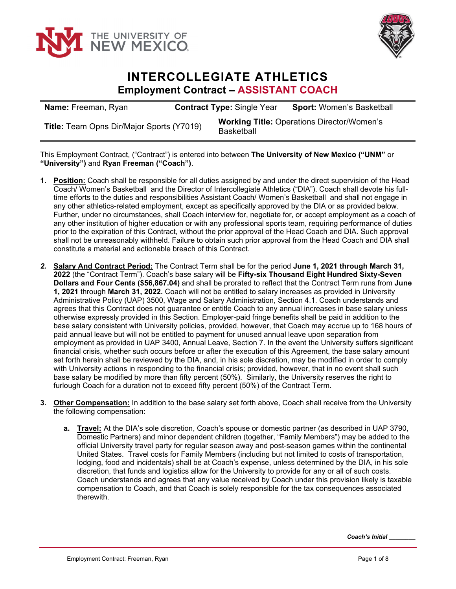



## **INTERCOLLEGIATE ATHLETICS Employment Contract – ASSISTANT COACH**

| <b>Name:</b> Freeman, Ryan                | <b>Contract Type: Single Year</b> | <b>Sport: Women's Basketball</b>                  |
|-------------------------------------------|-----------------------------------|---------------------------------------------------|
| Title: Team Opns Dir/Major Sports (Y7019) | Basketball                        | <b>Working Title: Operations Director/Women's</b> |

This Employment Contract, ("Contract") is entered into between **The University of New Mexico ("UNM"** or **"University")** and **Ryan Freeman ("Coach")**.

- **1. Position:** Coach shall be responsible for all duties assigned by and under the direct supervision of the Head Coach/ Women's Basketball and the Director of Intercollegiate Athletics ("DIA"). Coach shall devote his fulltime efforts to the duties and responsibilities Assistant Coach/ Women's Basketball and shall not engage in any other athletics-related employment, except as specifically approved by the DIA or as provided below. Further, under no circumstances, shall Coach interview for, negotiate for, or accept employment as a coach of any other institution of higher education or with any professional sports team, requiring performance of duties prior to the expiration of this Contract, without the prior approval of the Head Coach and DIA. Such approval shall not be unreasonably withheld. Failure to obtain such prior approval from the Head Coach and DIA shall constitute a material and actionable breach of this Contract.
- *2.* **Salary And Contract Period:** The Contract Term shall be for the period **June 1, 2021 through March 31, 2022** (the "Contract Term"). Coach's base salary will be **Fifty-six Thousand Eight Hundred Sixty-Seven Dollars and Four Cents (\$56,867.04)** and shall be prorated to reflect that the Contract Term runs from **June 1, 2021** through **March 31, 2022.** Coach will not be entitled to salary increases as provided in University Administrative Policy (UAP) 3500, Wage and Salary Administration, Section 4.1. Coach understands and agrees that this Contract does not guarantee or entitle Coach to any annual increases in base salary unless otherwise expressly provided in this Section. Employer-paid fringe benefits shall be paid in addition to the base salary consistent with University policies, provided, however, that Coach may accrue up to 168 hours of paid annual leave but will not be entitled to payment for unused annual leave upon separation from employment as provided in UAP 3400, Annual Leave, Section 7. In the event the University suffers significant financial crisis, whether such occurs before or after the execution of this Agreement, the base salary amount set forth herein shall be reviewed by the DIA, and, in his sole discretion, may be modified in order to comply with University actions in responding to the financial crisis; provided, however, that in no event shall such base salary be modified by more than fifty percent (50%). Similarly, the University reserves the right to furlough Coach for a duration not to exceed fifty percent (50%) of the Contract Term.
- **3. Other Compensation:** In addition to the base salary set forth above, Coach shall receive from the University the following compensation:
	- **a. Travel:** At the DIA's sole discretion, Coach's spouse or domestic partner (as described in UAP 3790, Domestic Partners) and minor dependent children (together, "Family Members") may be added to the official University travel party for regular season away and post-season games within the continental United States. Travel costs for Family Members (including but not limited to costs of transportation, lodging, food and incidentals) shall be at Coach's expense, unless determined by the DIA, in his sole discretion, that funds and logistics allow for the University to provide for any or all of such costs. Coach understands and agrees that any value received by Coach under this provision likely is taxable compensation to Coach, and that Coach is solely responsible for the tax consequences associated therewith.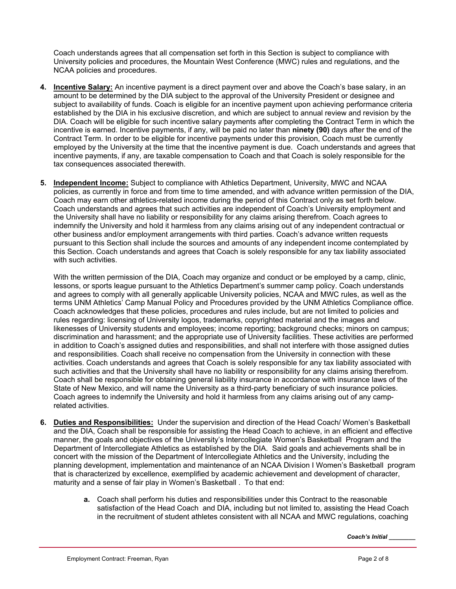Coach understands agrees that all compensation set forth in this Section is subject to compliance with University policies and procedures, the Mountain West Conference (MWC) rules and regulations, and the NCAA policies and procedures.

- **4. Incentive Salary:** An incentive payment is a direct payment over and above the Coach's base salary, in an amount to be determined by the DIA subject to the approval of the University President or designee and subject to availability of funds. Coach is eligible for an incentive payment upon achieving performance criteria established by the DIA in his exclusive discretion, and which are subject to annual review and revision by the DIA. Coach will be eligible for such incentive salary payments after completing the Contract Term in which the incentive is earned. Incentive payments, if any, will be paid no later than **ninety (90)** days after the end of the Contract Term. In order to be eligible for incentive payments under this provision, Coach must be currently employed by the University at the time that the incentive payment is due. Coach understands and agrees that incentive payments, if any, are taxable compensation to Coach and that Coach is solely responsible for the tax consequences associated therewith.
- **5. Independent Income:** Subject to compliance with Athletics Department, University, MWC and NCAA policies, as currently in force and from time to time amended, and with advance written permission of the DIA, Coach may earn other athletics-related income during the period of this Contract only as set forth below. Coach understands and agrees that such activities are independent of Coach's University employment and the University shall have no liability or responsibility for any claims arising therefrom. Coach agrees to indemnify the University and hold it harmless from any claims arising out of any independent contractual or other business and/or employment arrangements with third parties. Coach's advance written requests pursuant to this Section shall include the sources and amounts of any independent income contemplated by this Section. Coach understands and agrees that Coach is solely responsible for any tax liability associated with such activities.

With the written permission of the DIA, Coach may organize and conduct or be employed by a camp, clinic, lessons, or sports league pursuant to the Athletics Department's summer camp policy. Coach understands and agrees to comply with all generally applicable University policies, NCAA and MWC rules, as well as the terms UNM Athletics' Camp Manual Policy and Procedures provided by the UNM Athletics Compliance office. Coach acknowledges that these policies, procedures and rules include, but are not limited to policies and rules regarding: licensing of University logos, trademarks, copyrighted material and the images and likenesses of University students and employees; income reporting; background checks; minors on campus; discrimination and harassment; and the appropriate use of University facilities. These activities are performed in addition to Coach's assigned duties and responsibilities, and shall not interfere with those assigned duties and responsibilities. Coach shall receive no compensation from the University in connection with these activities. Coach understands and agrees that Coach is solely responsible for any tax liability associated with such activities and that the University shall have no liability or responsibility for any claims arising therefrom. Coach shall be responsible for obtaining general liability insurance in accordance with insurance laws of the State of New Mexico, and will name the University as a third-party beneficiary of such insurance policies. Coach agrees to indemnify the University and hold it harmless from any claims arising out of any camprelated activities.

- **6. Duties and Responsibilities:** Under the supervision and direction of the Head Coach/ Women's Basketball and the DIA, Coach shall be responsible for assisting the Head Coach to achieve, in an efficient and effective manner, the goals and objectives of the University's Intercollegiate Women's Basketball Program and the Department of Intercollegiate Athletics as established by the DIA. Said goals and achievements shall be in concert with the mission of the Department of Intercollegiate Athletics and the University, including the planning development, implementation and maintenance of an NCAA Division I Women's Basketball program that is characterized by excellence, exemplified by academic achievement and development of character, maturity and a sense of fair play in Women's Basketball . To that end:
	- **a.** Coach shall perform his duties and responsibilities under this Contract to the reasonable satisfaction of the Head Coach and DIA, including but not limited to, assisting the Head Coach in the recruitment of student athletes consistent with all NCAA and MWC regulations, coaching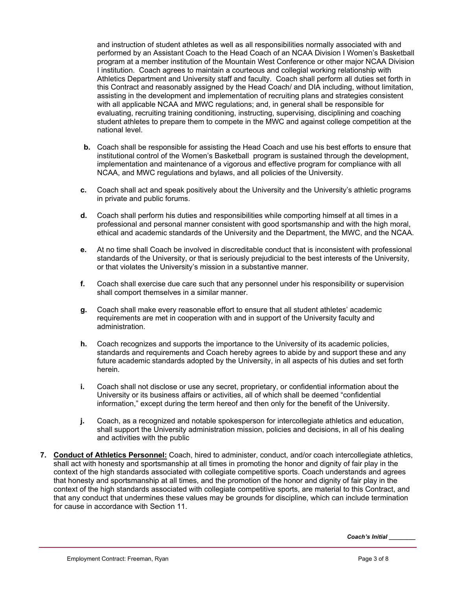and instruction of student athletes as well as all responsibilities normally associated with and performed by an Assistant Coach to the Head Coach of an NCAA Division I Women's Basketball program at a member institution of the Mountain West Conference or other major NCAA Division I institution. Coach agrees to maintain a courteous and collegial working relationship with Athletics Department and University staff and faculty. Coach shall perform all duties set forth in this Contract and reasonably assigned by the Head Coach/ and DIA including, without limitation, assisting in the development and implementation of recruiting plans and strategies consistent with all applicable NCAA and MWC regulations; and, in general shall be responsible for evaluating, recruiting training conditioning, instructing, supervising, disciplining and coaching student athletes to prepare them to compete in the MWC and against college competition at the national level.

- **b.** Coach shall be responsible for assisting the Head Coach and use his best efforts to ensure that institutional control of the Women's Basketball program is sustained through the development, implementation and maintenance of a vigorous and effective program for compliance with all NCAA, and MWC regulations and bylaws, and all policies of the University.
- **c.** Coach shall act and speak positively about the University and the University's athletic programs in private and public forums.
- **d.** Coach shall perform his duties and responsibilities while comporting himself at all times in a professional and personal manner consistent with good sportsmanship and with the high moral, ethical and academic standards of the University and the Department, the MWC, and the NCAA.
- **e.** At no time shall Coach be involved in discreditable conduct that is inconsistent with professional standards of the University, or that is seriously prejudicial to the best interests of the University, or that violates the University's mission in a substantive manner.
- **f.** Coach shall exercise due care such that any personnel under his responsibility or supervision shall comport themselves in a similar manner.
- **g.** Coach shall make every reasonable effort to ensure that all student athletes' academic requirements are met in cooperation with and in support of the University faculty and administration.
- **h.** Coach recognizes and supports the importance to the University of its academic policies, standards and requirements and Coach hereby agrees to abide by and support these and any future academic standards adopted by the University, in all aspects of his duties and set forth herein.
- **i.** Coach shall not disclose or use any secret, proprietary, or confidential information about the University or its business affairs or activities, all of which shall be deemed "confidential information," except during the term hereof and then only for the benefit of the University.
- **j.** Coach, as a recognized and notable spokesperson for intercollegiate athletics and education, shall support the University administration mission, policies and decisions, in all of his dealing and activities with the public
- **7. Conduct of Athletics Personnel:** Coach, hired to administer, conduct, and/or coach intercollegiate athletics, shall act with honesty and sportsmanship at all times in promoting the honor and dignity of fair play in the context of the high standards associated with collegiate competitive sports. Coach understands and agrees that honesty and sportsmanship at all times, and the promotion of the honor and dignity of fair play in the context of the high standards associated with collegiate competitive sports, are material to this Contract, and that any conduct that undermines these values may be grounds for discipline, which can include termination for cause in accordance with Section 11.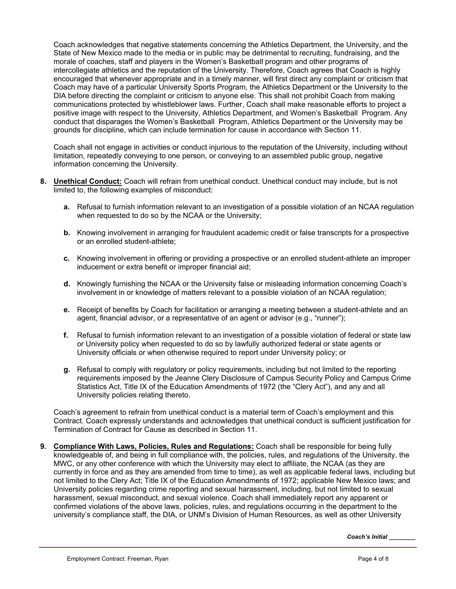Coach acknowledges that negative statements concerning the Athletics Department, the University, and the State of New Mexico made to the media or in public may be detrimental to recruiting, fundraising, and the morale of coaches, staff and players in the Women's Basketball program and other programs of intercollegiate athletics and the reputation of the University. Therefore, Coach agrees that Coach is highly encouraged that whenever appropriate and in a timely manner, will first direct any complaint or criticism that Coach may have of a particular University Sports Program, the Athletics Department or the University to the DIA before directing the complaint or criticism to anyone else. This shall not prohibit Coach from making communications protected by whistleblower laws. Further, Coach shall make reasonable efforts to project a positive image with respect to the University, Athletics Department, and Women's Basketball Program. Any conduct that disparages the Women's Basketball Program, Athletics Department or the University may be grounds for discipline, which can include termination for cause in accordance with Section 11.

Coach shall not engage in activities or conduct injurious to the reputation of the University, including without limitation, repeatedly conveying to one person, or conveying to an assembled public group, negative information concerning the University.

- **8. Unethical Conduct:** Coach will refrain from unethical conduct. Unethical conduct may include, but is not limited to, the following examples of misconduct:
	- **a.** Refusal to furnish information relevant to an investigation of a possible violation of an NCAA regulation when requested to do so by the NCAA or the University;
	- **b.** Knowing involvement in arranging for fraudulent academic credit or false transcripts for a prospective or an enrolled student-athlete;
	- **c.** Knowing involvement in offering or providing a prospective or an enrolled student-athlete an improper inducement or extra benefit or improper financial aid;
	- **d.** Knowingly furnishing the NCAA or the University false or misleading information concerning Coach's involvement in or knowledge of matters relevant to a possible violation of an NCAA regulation;
	- **e.** Receipt of benefits by Coach for facilitation or arranging a meeting between a student-athlete and an agent, financial advisor, or a representative of an agent or advisor (e.g., "runner");
	- **f.** Refusal to furnish information relevant to an investigation of a possible violation of federal or state law or University policy when requested to do so by lawfully authorized federal or state agents or University officials or when otherwise required to report under University policy; or
	- **g.** Refusal to comply with regulatory or policy requirements, including but not limited to the reporting requirements imposed by the Jeanne Clery Disclosure of Campus Security Policy and Campus Crime Statistics Act, Title IX of the Education Amendments of 1972 (the "Clery Act"), and any and all University policies relating thereto.

Coach's agreement to refrain from unethical conduct is a material term of Coach's employment and this Contract. Coach expressly understands and acknowledges that unethical conduct is sufficient justification for Termination of Contract for Cause as described in Section 11.

**9. Compliance With Laws, Policies, Rules and Regulations:** Coach shall be responsible for being fully knowledgeable of, and being in full compliance with, the policies, rules, and regulations of the University, the MWC, or any other conference with which the University may elect to affiliate, the NCAA (as they are currently in force and as they are amended from time to time), as well as applicable federal laws, including but not limited to the Clery Act; Title IX of the Education Amendments of 1972; applicable New Mexico laws; and University policies regarding crime reporting and sexual harassment, including, but not limited to sexual harassment, sexual misconduct, and sexual violence. Coach shall immediately report any apparent or confirmed violations of the above laws, policies, rules, and regulations occurring in the department to the university's compliance staff, the DIA, or UNM's Division of Human Resources, as well as other University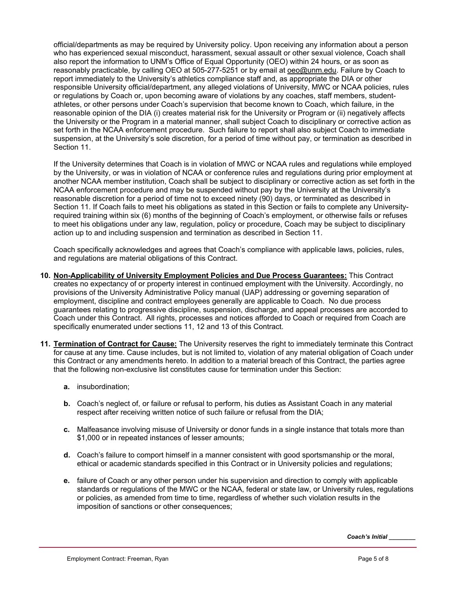official/departments as may be required by University policy. Upon receiving any information about a person who has experienced sexual misconduct, harassment, sexual assault or other sexual violence, Coach shall also report the information to UNM's Office of Equal Opportunity (OEO) within 24 hours, or as soon as reasonably practicable, by calling OEO at 505-277-5251 or by email at oeo@unm.edu. Failure by Coach to report immediately to the University's athletics compliance staff and, as appropriate the DIA or other responsible University official/department, any alleged violations of University, MWC or NCAA policies, rules or regulations by Coach or, upon becoming aware of violations by any coaches, staff members, studentathletes, or other persons under Coach's supervision that become known to Coach, which failure, in the reasonable opinion of the DIA (i) creates material risk for the University or Program or (ii) negatively affects the University or the Program in a material manner, shall subject Coach to disciplinary or corrective action as set forth in the NCAA enforcement procedure. Such failure to report shall also subject Coach to immediate suspension, at the University's sole discretion, for a period of time without pay, or termination as described in Section 11.

If the University determines that Coach is in violation of MWC or NCAA rules and regulations while employed by the University, or was in violation of NCAA or conference rules and regulations during prior employment at another NCAA member institution, Coach shall be subject to disciplinary or corrective action as set forth in the NCAA enforcement procedure and may be suspended without pay by the University at the University's reasonable discretion for a period of time not to exceed ninety (90) days, or terminated as described in Section 11. If Coach fails to meet his obligations as stated in this Section or fails to complete any Universityrequired training within six (6) months of the beginning of Coach's employment, or otherwise fails or refuses to meet his obligations under any law, regulation, policy or procedure, Coach may be subject to disciplinary action up to and including suspension and termination as described in Section 11.

Coach specifically acknowledges and agrees that Coach's compliance with applicable laws, policies, rules, and regulations are material obligations of this Contract.

- **10. Non-Applicability of University Employment Policies and Due Process Guarantees:** This Contract creates no expectancy of or property interest in continued employment with the University. Accordingly, no provisions of the University Administrative Policy manual (UAP) addressing or governing separation of employment, discipline and contract employees generally are applicable to Coach. No due process guarantees relating to progressive discipline, suspension, discharge, and appeal processes are accorded to Coach under this Contract. All rights, processes and notices afforded to Coach or required from Coach are specifically enumerated under sections 11, 12 and 13 of this Contract.
- **11. Termination of Contract for Cause:** The University reserves the right to immediately terminate this Contract for cause at any time. Cause includes, but is not limited to, violation of any material obligation of Coach under this Contract or any amendments hereto. In addition to a material breach of this Contract, the parties agree that the following non-exclusive list constitutes cause for termination under this Section:
	- **a.** insubordination;
	- **b.** Coach's neglect of, or failure or refusal to perform, his duties as Assistant Coach in any material respect after receiving written notice of such failure or refusal from the DIA;
	- **c.** Malfeasance involving misuse of University or donor funds in a single instance that totals more than \$1,000 or in repeated instances of lesser amounts;
	- **d.** Coach's failure to comport himself in a manner consistent with good sportsmanship or the moral, ethical or academic standards specified in this Contract or in University policies and regulations;
	- **e.** failure of Coach or any other person under his supervision and direction to comply with applicable standards or regulations of the MWC or the NCAA, federal or state law, or University rules, regulations or policies, as amended from time to time, regardless of whether such violation results in the imposition of sanctions or other consequences;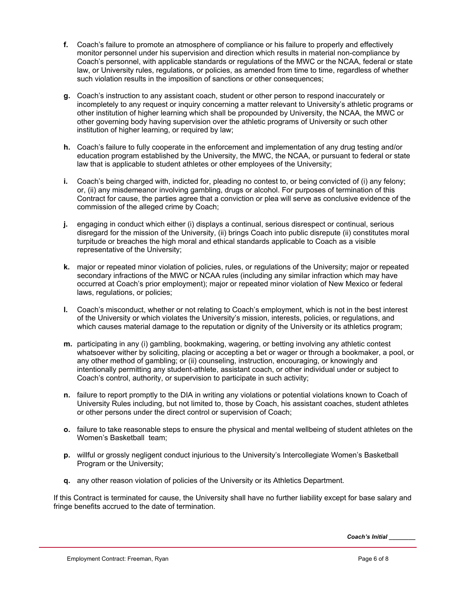- **f.** Coach's failure to promote an atmosphere of compliance or his failure to properly and effectively monitor personnel under his supervision and direction which results in material non-compliance by Coach's personnel, with applicable standards or regulations of the MWC or the NCAA, federal or state law, or University rules, regulations, or policies, as amended from time to time, regardless of whether such violation results in the imposition of sanctions or other consequences;
- **g.** Coach's instruction to any assistant coach, student or other person to respond inaccurately or incompletely to any request or inquiry concerning a matter relevant to University's athletic programs or other institution of higher learning which shall be propounded by University, the NCAA, the MWC or other governing body having supervision over the athletic programs of University or such other institution of higher learning, or required by law;
- **h.** Coach's failure to fully cooperate in the enforcement and implementation of any drug testing and/or education program established by the University, the MWC, the NCAA, or pursuant to federal or state law that is applicable to student athletes or other employees of the University;
- **i.** Coach's being charged with, indicted for, pleading no contest to, or being convicted of (i) any felony; or, (ii) any misdemeanor involving gambling, drugs or alcohol. For purposes of termination of this Contract for cause, the parties agree that a conviction or plea will serve as conclusive evidence of the commission of the alleged crime by Coach;
- **j.** engaging in conduct which either (i) displays a continual, serious disrespect or continual, serious disregard for the mission of the University, (ii) brings Coach into public disrepute (ii) constitutes moral turpitude or breaches the high moral and ethical standards applicable to Coach as a visible representative of the University;
- **k.** major or repeated minor violation of policies, rules, or regulations of the University; major or repeated secondary infractions of the MWC or NCAA rules (including any similar infraction which may have occurred at Coach's prior employment); major or repeated minor violation of New Mexico or federal laws, regulations, or policies;
- **l.** Coach's misconduct, whether or not relating to Coach's employment, which is not in the best interest of the University or which violates the University's mission, interests, policies, or regulations, and which causes material damage to the reputation or dignity of the University or its athletics program;
- **m.** participating in any (i) gambling, bookmaking, wagering, or betting involving any athletic contest whatsoever wither by soliciting, placing or accepting a bet or wager or through a bookmaker, a pool, or any other method of gambling; or (ii) counseling, instruction, encouraging, or knowingly and intentionally permitting any student-athlete, assistant coach, or other individual under or subject to Coach's control, authority, or supervision to participate in such activity;
- **n.** failure to report promptly to the DIA in writing any violations or potential violations known to Coach of University Rules including, but not limited to, those by Coach, his assistant coaches, student athletes or other persons under the direct control or supervision of Coach;
- **o.** failure to take reasonable steps to ensure the physical and mental wellbeing of student athletes on the Women's Basketball team;
- **p.** willful or grossly negligent conduct injurious to the University's Intercollegiate Women's Basketball Program or the University;
- **q.** any other reason violation of policies of the University or its Athletics Department.

If this Contract is terminated for cause, the University shall have no further liability except for base salary and fringe benefits accrued to the date of termination.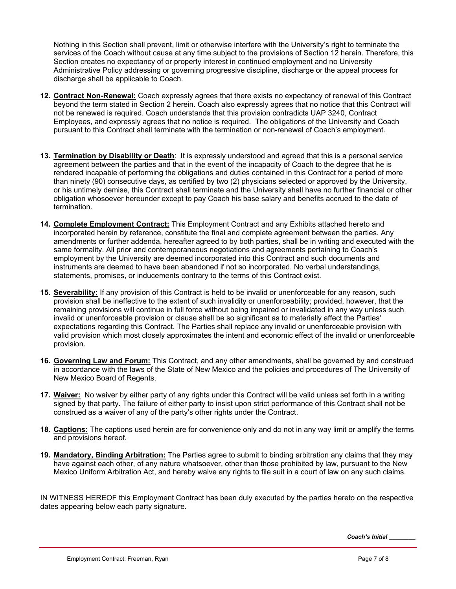Nothing in this Section shall prevent, limit or otherwise interfere with the University's right to terminate the services of the Coach without cause at any time subject to the provisions of Section 12 herein. Therefore, this Section creates no expectancy of or property interest in continued employment and no University Administrative Policy addressing or governing progressive discipline, discharge or the appeal process for discharge shall be applicable to Coach.

- **12. Contract Non-Renewal:** Coach expressly agrees that there exists no expectancy of renewal of this Contract beyond the term stated in Section 2 herein. Coach also expressly agrees that no notice that this Contract will not be renewed is required. Coach understands that this provision contradicts UAP 3240, Contract Employees, and expressly agrees that no notice is required. The obligations of the University and Coach pursuant to this Contract shall terminate with the termination or non-renewal of Coach's employment.
- **13. Termination by Disability or Death**: It is expressly understood and agreed that this is a personal service agreement between the parties and that in the event of the incapacity of Coach to the degree that he is rendered incapable of performing the obligations and duties contained in this Contract for a period of more than ninety (90) consecutive days, as certified by two (2) physicians selected or approved by the University, or his untimely demise, this Contract shall terminate and the University shall have no further financial or other obligation whosoever hereunder except to pay Coach his base salary and benefits accrued to the date of termination.
- **14. Complete Employment Contract:** This Employment Contract and any Exhibits attached hereto and incorporated herein by reference, constitute the final and complete agreement between the parties. Any amendments or further addenda, hereafter agreed to by both parties, shall be in writing and executed with the same formality. All prior and contemporaneous negotiations and agreements pertaining to Coach's employment by the University are deemed incorporated into this Contract and such documents and instruments are deemed to have been abandoned if not so incorporated. No verbal understandings, statements, promises, or inducements contrary to the terms of this Contract exist.
- **15. Severability:** If any provision of this Contract is held to be invalid or unenforceable for any reason, such provision shall be ineffective to the extent of such invalidity or unenforceability; provided, however, that the remaining provisions will continue in full force without being impaired or invalidated in any way unless such invalid or unenforceable provision or clause shall be so significant as to materially affect the Parties' expectations regarding this Contract. The Parties shall replace any invalid or unenforceable provision with valid provision which most closely approximates the intent and economic effect of the invalid or unenforceable provision.
- **16. Governing Law and Forum:** This Contract, and any other amendments, shall be governed by and construed in accordance with the laws of the State of New Mexico and the policies and procedures of The University of New Mexico Board of Regents.
- **17. Waiver:** No waiver by either party of any rights under this Contract will be valid unless set forth in a writing signed by that party. The failure of either party to insist upon strict performance of this Contract shall not be construed as a waiver of any of the party's other rights under the Contract.
- **18. Captions:** The captions used herein are for convenience only and do not in any way limit or amplify the terms and provisions hereof.
- **19. Mandatory, Binding Arbitration:** The Parties agree to submit to binding arbitration any claims that they may have against each other, of any nature whatsoever, other than those prohibited by law, pursuant to the New Mexico Uniform Arbitration Act, and hereby waive any rights to file suit in a court of law on any such claims.

IN WITNESS HEREOF this Employment Contract has been duly executed by the parties hereto on the respective dates appearing below each party signature.